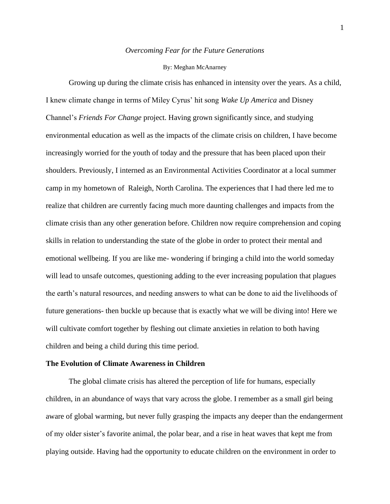## *Overcoming Fear for the Future Generations*

#### By: Meghan McAnarney

Growing up during the climate crisis has enhanced in intensity over the years. As a child, I knew climate change in terms of Miley Cyrus' hit song *Wake Up America* and Disney Channel's *Friends For Change* project. Having grown significantly since, and studying environmental education as well as the impacts of the climate crisis on children, I have become increasingly worried for the youth of today and the pressure that has been placed upon their shoulders. Previously, I interned as an Environmental Activities Coordinator at a local summer camp in my hometown of Raleigh, North Carolina. The experiences that I had there led me to realize that children are currently facing much more daunting challenges and impacts from the climate crisis than any other generation before. Children now require comprehension and coping skills in relation to understanding the state of the globe in order to protect their mental and emotional wellbeing. If you are like me- wondering if bringing a child into the world someday will lead to unsafe outcomes, questioning adding to the ever increasing population that plagues the earth's natural resources, and needing answers to what can be done to aid the livelihoods of future generations- then buckle up because that is exactly what we will be diving into! Here we will cultivate comfort together by fleshing out climate anxieties in relation to both having children and being a child during this time period.

#### **The Evolution of Climate Awareness in Children**

The global climate crisis has altered the perception of life for humans, especially children, in an abundance of ways that vary across the globe. I remember as a small girl being aware of global warming, but never fully grasping the impacts any deeper than the endangerment of my older sister's favorite animal, the polar bear, and a rise in heat waves that kept me from playing outside. Having had the opportunity to educate children on the environment in order to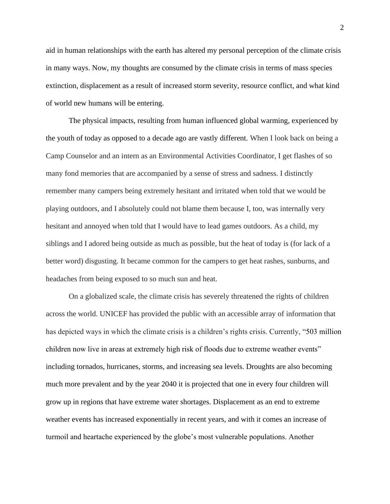aid in human relationships with the earth has altered my personal perception of the climate crisis in many ways. Now, my thoughts are consumed by the climate crisis in terms of mass species extinction, displacement as a result of increased storm severity, resource conflict, and what kind of world new humans will be entering.

The physical impacts, resulting from human influenced global warming, experienced by the youth of today as opposed to a decade ago are vastly different. When I look back on being a Camp Counselor and an intern as an Environmental Activities Coordinator, I get flashes of so many fond memories that are accompanied by a sense of stress and sadness. I distinctly remember many campers being extremely hesitant and irritated when told that we would be playing outdoors, and I absolutely could not blame them because I, too, was internally very hesitant and annoyed when told that I would have to lead games outdoors. As a child, my siblings and I adored being outside as much as possible, but the heat of today is (for lack of a better word) disgusting. It became common for the campers to get heat rashes, sunburns, and headaches from being exposed to so much sun and heat.

On a globalized scale, the climate crisis has severely threatened the rights of children across the world. UNICEF has provided the public with an accessible array of information that has depicted ways in which the climate crisis is a children's rights crisis. Currently, "503 million children now live in areas at extremely high risk of floods due to extreme weather events" including tornados, hurricanes, storms, and increasing sea levels. Droughts are also becoming much more prevalent and by the year 2040 it is projected that one in every four children will grow up in regions that have extreme water shortages. Displacement as an end to extreme weather events has increased exponentially in recent years, and with it comes an increase of turmoil and heartache experienced by the globe's most vulnerable populations. Another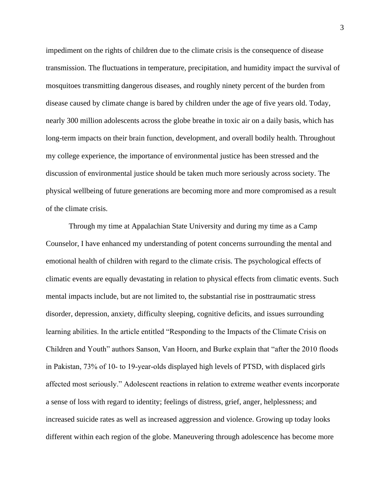impediment on the rights of children due to the climate crisis is the consequence of disease transmission. The fluctuations in temperature, precipitation, and humidity impact the survival of mosquitoes transmitting dangerous diseases, and roughly ninety percent of the burden from disease caused by climate change is bared by children under the age of five years old. Today, nearly 300 million adolescents across the globe breathe in toxic air on a daily basis, which has long-term impacts on their brain function, development, and overall bodily health. Throughout my college experience, the importance of environmental justice has been stressed and the discussion of environmental justice should be taken much more seriously across society. The physical wellbeing of future generations are becoming more and more compromised as a result of the climate crisis.

Through my time at Appalachian State University and during my time as a Camp Counselor, I have enhanced my understanding of potent concerns surrounding the mental and emotional health of children with regard to the climate crisis. The psychological effects of climatic events are equally devastating in relation to physical effects from climatic events. Such mental impacts include, but are not limited to, the substantial rise in posttraumatic stress disorder, depression, anxiety, difficulty sleeping, cognitive deficits, and issues surrounding learning abilities. In the article entitled "Responding to the Impacts of the Climate Crisis on Children and Youth" authors Sanson, Van Hoorn, and Burke explain that "after the 2010 floods in Pakistan, 73% of 10‐ to 19‐year‐olds displayed high levels of PTSD, with displaced girls affected most seriously." Adolescent reactions in relation to extreme weather events incorporate a sense of loss with regard to identity; feelings of distress, grief, anger, helplessness; and increased suicide rates as well as increased aggression and violence. Growing up today looks different within each region of the globe. Maneuvering through adolescence has become more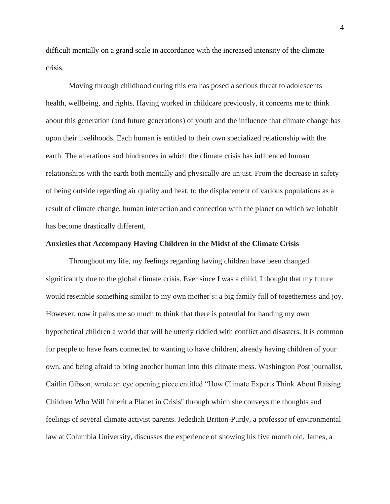difficult mentally on a grand scale in accordance with the increased intensity of the climate crisis.

Moving through childhood during this era has posed a serious threat to adolescents health, wellbeing, and rights. Having worked in childcare previously, it concerns me to think about this generation (and future generations) of youth and the influence that climate change has upon their livelihoods. Each human is entitled to their own specialized relationship with the earth. The alterations and hindrances in which the climate crisis has influenced human relationships with the earth both mentally and physically are unjust. From the decrease in safety of being outside regarding air quality and heat, to the displacement of various populations as a result of climate change, human interaction and connection with the planet on which we inhabit has become drastically different.

## **Anxieties that Accompany Having Children in the Midst of the Climate Crisis**

Throughout my life, my feelings regarding having children have been changed significantly due to the global climate crisis. Ever since I was a child, I thought that my future would resemble something similar to my own mother's: a big family full of togetherness and joy. However, now it pains me so much to think that there is potential for handing my own hypothetical children a world that will be utterly riddled with conflict and disasters. It is common for people to have fears connected to wanting to have children, already having children of your own, and being afraid to bring another human into this climate mess. Washington Post journalist, Caitlin Gibson, wrote an eye opening piece entitled "How Climate Experts Think About Raising Children Who Will Inherit a Planet in Crisis'' through which she conveys the thoughts and feelings of several climate activist parents. Jedediah Britton-Purdy, a professor of environmental law at Columbia University, discusses the experience of showing his five month old, James, a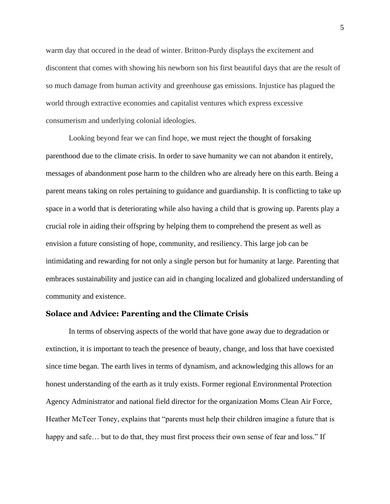warm day that occured in the dead of winter. Britton-Purdy displays the excitement and discontent that comes with showing his newborn son his first beautiful days that are the result of so much damage from human activity and greenhouse gas emissions. Injustice has plagued the world through extractive economies and capitalist ventures which express excessive consumerism and underlying colonial ideologies.

Looking beyond fear we can find hope, we must reject the thought of forsaking parenthood due to the climate crisis. In order to save humanity we can not abandon it entirely, messages of abandonment pose harm to the children who are already here on this earth. Being a parent means taking on roles pertaining to guidance and guardianship. It is conflicting to take up space in a world that is deteriorating while also having a child that is growing up. Parents play a crucial role in aiding their offspring by helping them to comprehend the present as well as envision a future consisting of hope, community, and resiliency. This large job can be intimidating and rewarding for not only a single person but for humanity at large. Parenting that embraces sustainability and justice can aid in changing localized and globalized understanding of community and existence.

# **Solace and Advice: Parenting and the Climate Crisis**

In terms of observing aspects of the world that have gone away due to degradation or extinction, it is important to teach the presence of beauty, change, and loss that have coexisted since time began. The earth lives in terms of dynamism, and acknowledging this allows for an honest understanding of the earth as it truly exists. Former regional Environmental Protection Agency Administrator and national field director for the organization Moms Clean Air Force, Heather McTeer Toney, explains that "parents must help their children imagine a future that is happy and safe... but to do that, they must first process their own sense of fear and loss." If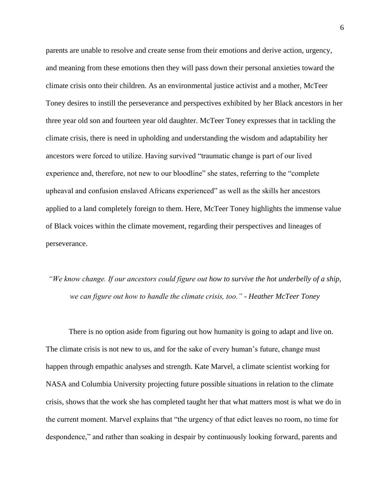parents are unable to resolve and create sense from their emotions and derive action, urgency, and meaning from these emotions then they will pass down their personal anxieties toward the climate crisis onto their children. As an environmental justice activist and a mother, McTeer Toney desires to instill the perseverance and perspectives exhibited by her Black ancestors in her three year old son and fourteen year old daughter. McTeer Toney expresses that in tackling the climate crisis, there is need in upholding and understanding the wisdom and adaptability her ancestors were forced to utilize. Having survived "traumatic change is part of our lived experience and, therefore, not new to our bloodline" she states, referring to the "complete upheaval and confusion enslaved Africans experienced" as well as the skills her ancestors applied to a land completely foreign to them. Here, McTeer Toney highlights the immense value of Black voices within the climate movement, regarding their perspectives and lineages of perseverance.

# *"We know change. If our ancestors could figure out how to survive the hot underbelly of a ship, we can figure out how to handle the climate crisis, too." - Heather McTeer Toney*

There is no option aside from figuring out how humanity is going to adapt and live on. The climate crisis is not new to us, and for the sake of every human's future, change must happen through empathic analyses and strength. Kate Marvel, a climate scientist working for NASA and Columbia University projecting future possible situations in relation to the climate crisis, shows that the work she has completed taught her that what matters most is what we do in the current moment. Marvel explains that "the urgency of that edict leaves no room, no time for despondence," and rather than soaking in despair by continuously looking forward, parents and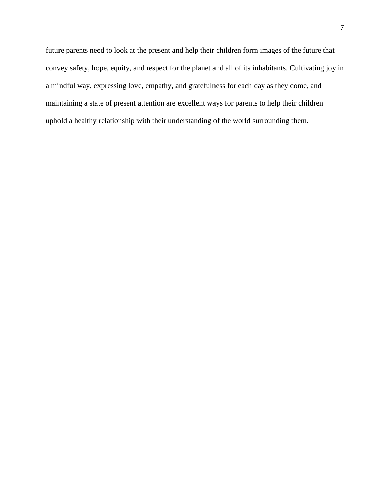future parents need to look at the present and help their children form images of the future that convey safety, hope, equity, and respect for the planet and all of its inhabitants. Cultivating joy in a mindful way, expressing love, empathy, and gratefulness for each day as they come, and maintaining a state of present attention are excellent ways for parents to help their children uphold a healthy relationship with their understanding of the world surrounding them.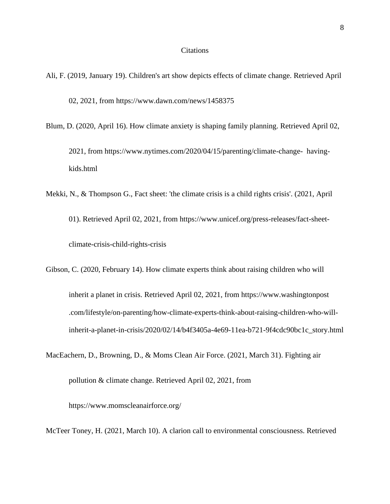# Citations

- Ali, F. (2019, January 19). Children's art show depicts effects of climate change. Retrieved April 02, 2021, from https://www.dawn.com/news/1458375
- Blum, D. (2020, April 16). How climate anxiety is shaping family planning. Retrieved April 02, 2021, from https://www.nytimes.com/2020/04/15/parenting/climate-change- havingkids.html
- Mekki, N., & Thompson G., Fact sheet: 'the climate crisis is a child rights crisis'. (2021, April 01). Retrieved April 02, 2021, from https://www.unicef.org/press-releases/fact-sheetclimate-crisis-child-rights-crisis

Gibson, C. (2020, February 14). How climate experts think about raising children who will inherit a planet in crisis. Retrieved April 02, 2021, from https://www.washingtonpost .com/lifestyle/on-parenting/how-climate-experts-think-about-raising-children-who-willinherit-a-planet-in-crisis/2020/02/14/b4f3405a-4e69-11ea-b721-9f4cdc90bc1c\_story.html

MacEachern, D., Browning, D., & Moms Clean Air Force. (2021, March 31). Fighting air pollution & climate change. Retrieved April 02, 2021, from

https://www.momscleanairforce.org/

McTeer Toney, H. (2021, March 10). A clarion call to environmental consciousness. Retrieved